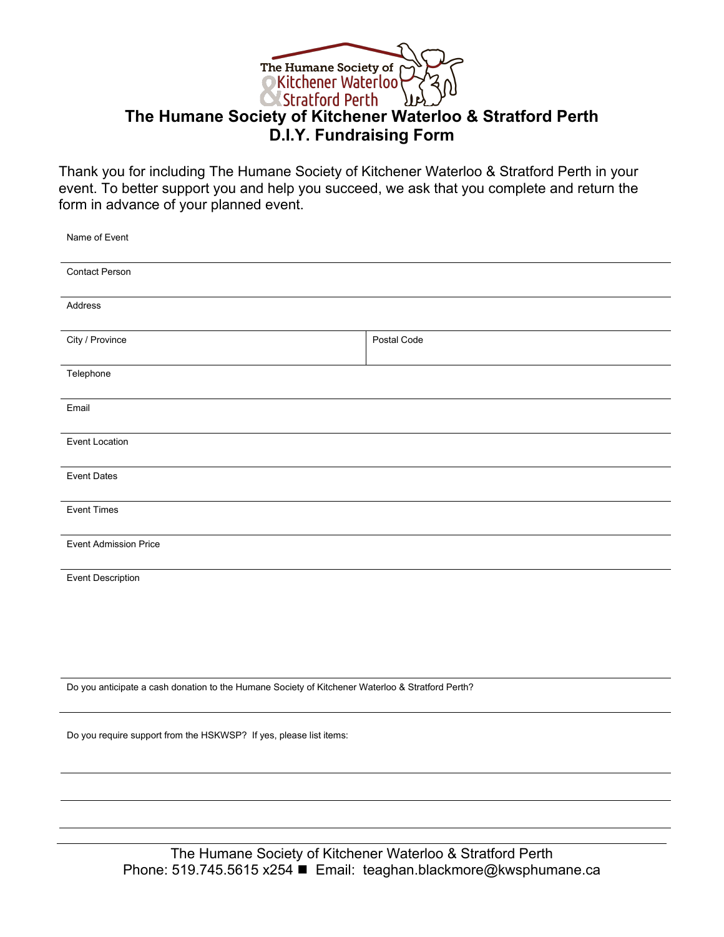

## **The Humane Society of Kitchener Waterloo & Stratford Perth D.I.Y. Fundraising Form**

Thank you for including The Humane Society of Kitchener Waterloo & Stratford Perth in your event. To better support you and help you succeed, we ask that you complete and return the form in advance of your planned event.

| Name of Event                                                                                    |             |  |
|--------------------------------------------------------------------------------------------------|-------------|--|
| <b>Contact Person</b>                                                                            |             |  |
| Address                                                                                          |             |  |
| City / Province                                                                                  | Postal Code |  |
| Telephone                                                                                        |             |  |
| Email                                                                                            |             |  |
| <b>Event Location</b>                                                                            |             |  |
| <b>Event Dates</b>                                                                               |             |  |
| <b>Event Times</b>                                                                               |             |  |
| <b>Event Admission Price</b>                                                                     |             |  |
| <b>Event Description</b>                                                                         |             |  |
|                                                                                                  |             |  |
|                                                                                                  |             |  |
| Do you anticipate a cash donation to the Humane Society of Kitchener Waterloo & Stratford Perth? |             |  |
| Do you require support from the HSKWSP? If yes, please list items:                               |             |  |